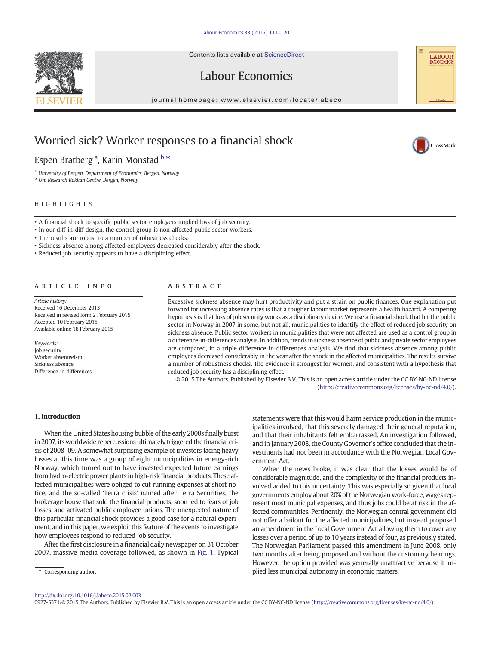Contents lists available at ScienceDirect



journal homepage:<www.elsevier.com/locate/labeco>

# Worried sick? Worker responses to a financial shock

# Espen Bratberg<sup>a</sup>, Karin Monstad b,\*

<sup>a</sup> University of Bergen, Department of Economics, Bergen, Norway

<sup>b</sup> Uni Research Rokkan Centre, Bergen, Norway

# HIGHLIGHTS

• A financial shock to specific public sector employers implied loss of job security.

• In our diff-in-diff design, the control group is non-affected public sector workers.

• The results are robust to a number of robustness checks.

• Sickness absence among affected employees decreased considerably after the shock.

• Reduced job security appears to have a disciplining effect.

# article info abstract

Article history: Received 16 December 2013 Received in revised form 2 February 2015 Accepted 10 February 2015 Available online 18 February 2015

Keywords: Job security Worker absenteeism Sickness absence Difference-in-differences

Excessive sickness absence may hurt productivity and put a strain on public finances. One explanation put forward for increasing absence rates is that a tougher labour market represents a health hazard. A competing hypothesis is that loss of job security works as a disciplinary device. We use a financial shock that hit the public sector in Norway in 2007 in some, but not all, municipalities to identify the effect of reduced job security on sickness absence. Public sector workers in municipalities that were not affected are used as a control group in a difference-in-differences analysis. In addition, trends in sickness absence of public and private sector employees are compared, in a triple difference-in-differences analysis. We find that sickness absence among public employees decreased considerably in the year after the shock in the affected municipalities. The results survive a number of robustness checks. The evidence is strongest for women, and consistent with a hypothesis that reduced job security has a disciplining effect.

© 2015 The Authors. Published by Elsevier B.V. This is an open access article under the CC BY-NC-ND license ([http://creativecommons.org/licenses/by-nc-nd/4.0/\)](http://creativecommons.org/licenses/by-nc-nd/4.0/).

# 1. Introduction

When the United States housing bubble of the early 2000s finally burst in 2007, its worldwide repercussions ultimately triggered the financial crisis of 2008–09. A somewhat surprising example of investors facing heavy losses at this time was a group of eight municipalities in energy-rich Norway, which turned out to have invested expected future earnings from hydro-electric power plants in high-risk financial products. These affected municipalities were obliged to cut running expenses at short notice, and the so-called 'Terra crisis' named after Terra Securities, the brokerage house that sold the financial products, soon led to fears of job losses, and activated public employee unions. The unexpected nature of this particular financial shock provides a good case for a natural experiment, and in this paper, we exploit this feature of the events to investigate how employees respond to reduced job security.

After the first disclosure in a financial daily newspaper on 31 October 2007, massive media coverage followed, as shown in [Fig. 1.](#page-1-0) Typical statements were that this would harm service production in the municipalities involved, that this severely damaged their general reputation, and that their inhabitants felt embarrassed. An investigation followed, and in January 2008, the County Governor's office concluded that the investments had not been in accordance with the Norwegian Local Government Act.

When the news broke, it was clear that the losses would be of considerable magnitude, and the complexity of the financial products involved added to this uncertainty. This was especially so given that local governments employ about 20% of the Norwegian work-force, wages represent most municipal expenses, and thus jobs could be at risk in the affected communities. Pertinently, the Norwegian central government did not offer a bailout for the affected municipalities, but instead proposed an amendment in the Local Government Act allowing them to cover any losses over a period of up to 10 years instead of four, as previously stated. The Norwegian Parliament passed this amendment in June 2008, only two months after being proposed and without the customary hearings. However, the option provided was generally unattractive because it implied less municipal autonomy in economic matters.

<http://dx.doi.org/10.1016/j.labeco.2015.02.003>

0927-5371/© 2015 The Authors. Published by Elsevier B.V. This is an open access article under the CC BY-NC-ND license [\(http://creativecommons.org/licenses/by-nc-nd/4.0/\)](http://creativecommons.org/licenses/by-nc-nd/4.0/).



LABOUR<br>ECONOMICS

Corresponding author.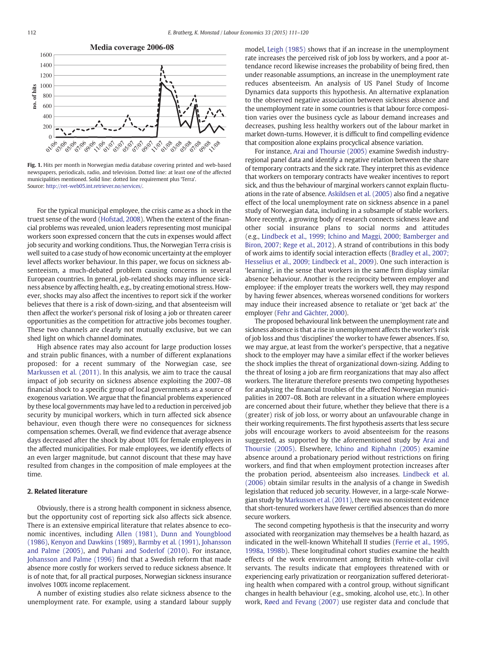<span id="page-1-0"></span>

Fig. 1. Hits per month in Norwegian media database covering printed and web-based newspapers, periodicals, radio, and television. Dotted line: at least one of the affected municipalities mentioned. Solid line: dotted line requirement plus 'Terra'. Source: <http://ret-web05.int.retriever.no/services/>.

For the typical municipal employee, the crisis came as a shock in the truest sense of the word [\(Hofstad, 2008\)](#page-9-0). When the extent of the financial problems was revealed, union leaders representing most municipal workers soon expressed concern that the cuts in expenses would affect job security and working conditions. Thus, the Norwegian Terra crisis is well suited to a case study of how economic uncertainty at the employer level affects worker behaviour. In this paper, we focus on sickness absenteeism, a much-debated problem causing concerns in several European countries. In general, job-related shocks may influence sickness absence by affecting health, e.g., by creating emotional stress. However, shocks may also affect the incentives to report sick if the worker believes that there is a risk of down-sizing, and that absenteeism will then affect the worker's personal risk of losing a job or threaten career opportunities as the competition for attractive jobs becomes tougher. These two channels are clearly not mutually exclusive, but we can shed light on which channel dominates.

High absence rates may also account for large production losses and strain public finances, with a number of different explanations proposed: for a recent summary of the Norwegian case, see [Markussen et al. \(2011\).](#page-9-0) In this analysis, we aim to trace the causal impact of job security on sickness absence exploiting the 2007–08 financial shock to a specific group of local governments as a source of exogenous variation. We argue that the financial problems experienced by these local governments may have led to a reduction in perceived job security by municipal workers, which in turn affected sick absence behaviour, even though there were no consequences for sickness compensation schemes. Overall, we find evidence that average absence days decreased after the shock by about 10% for female employees in the affected municipalities. For male employees, we identify effects of an even larger magnitude, but cannot discount that these may have resulted from changes in the composition of male employees at the time.

### 2. Related literature

Obviously, there is a strong health component in sickness absence, but the opportunity cost of reporting sick also affects sick absence. There is an extensive empirical literature that relates absence to economic incentives, including [Allen \(1981\)](#page-9-0), [Dunn and Youngblood](#page-9-0) [\(1986\),](#page-9-0) [Kenyon and Dawkins \(1989\)](#page-9-0), [Barmby et al. \(1991\)](#page-9-0), [Johansson](#page-9-0) [and Palme \(2005\),](#page-9-0) and [Puhani and Soderlof \(2010\)](#page-9-0). For instance, [Johansson and Palme \(1996\)](#page-9-0) find that a Swedish reform that made absence more costly for workers served to reduce sickness absence. It is of note that, for all practical purposes, Norwegian sickness insurance involves 100% income replacement.

A number of existing studies also relate sickness absence to the unemployment rate. For example, using a standard labour supply model, [Leigh \(1985\)](#page-9-0) shows that if an increase in the unemployment rate increases the perceived risk of job loss by workers, and a poor attendance record likewise increases the probability of being fired, then under reasonable assumptions, an increase in the unemployment rate reduces absenteeism. An analysis of US Panel Study of Income Dynamics data supports this hypothesis. An alternative explanation to the observed negative association between sickness absence and the unemployment rate in some countries is that labour force composition varies over the business cycle as labour demand increases and decreases, pushing less healthy workers out of the labour market in market down-turns. However, it is difficult to find compelling evidence that composition alone explains procyclical absence variation.

For instance, [Arai and Thoursie \(2005\)](#page-9-0) examine Swedish industryregional panel data and identify a negative relation between the share of temporary contracts and the sick rate. They interpret this as evidence that workers on temporary contracts have weaker incentives to report sick, and thus the behaviour of marginal workers cannot explain fluctuations in the rate of absence. [Askildsen et al. \(2005\)](#page-9-0) also find a negative effect of the local unemployment rate on sickness absence in a panel study of Norwegian data, including in a subsample of stable workers. More recently, a growing body of research connects sickness leave and other social insurance plans to social norms and attitudes (e.g., [Lindbeck et al., 1999; Ichino and Maggi, 2000; Bamberger and](#page-9-0) [Biron, 2007; Rege et al., 2012](#page-9-0)). A strand of contributions in this body of work aims to identify social interaction effects ([Bradley et al., 2007;](#page-9-0) [Hesselius et al., 2009; Lindbeck et al., 2009](#page-9-0)). One such interaction is 'learning', in the sense that workers in the same firm display similar absence behaviour. Another is the reciprocity between employer and employee: if the employer treats the workers well, they may respond by having fewer absences, whereas worsened conditions for workers may induce their increased absence to retaliate or 'get back at' the employer [\(Fehr and Gächter, 2000\)](#page-9-0).

The proposed behavioural link between the unemployment rate and sickness absence is that a rise in unemployment affects the worker's risk of job loss and thus 'disciplines' the worker to have fewer absences. If so, we may argue, at least from the worker's perspective, that a negative shock to the employer may have a similar effect if the worker believes the shock implies the threat of organizational down-sizing. Adding to the threat of losing a job are firm reorganizations that may also affect workers. The literature therefore presents two competing hypotheses for analysing the financial troubles of the affected Norwegian municipalities in 2007–08. Both are relevant in a situation where employees are concerned about their future, whether they believe that there is a (greater) risk of job loss, or worry about an unfavourable change in their working requirements. The first hypothesis asserts that less secure jobs will encourage workers to avoid absenteeism for the reasons suggested, as supported by the aforementioned study by [Arai and](#page-9-0) [Thoursie \(2005\)](#page-9-0). Elsewhere, [Ichino and Riphahn \(2005\)](#page-9-0) examine absence around a probationary period without restrictions on firing workers, and find that when employment protection increases after the probation period, absenteeism also increases. [Lindbeck et al.](#page-9-0) [\(2006\)](#page-9-0) obtain similar results in the analysis of a change in Swedish legislation that reduced job security. However, in a large-scale Norwegian study by [Markussen et al. \(2011\)](#page-9-0), there was no consistent evidence that short-tenured workers have fewer certified absences than do more secure workers.

The second competing hypothesis is that the insecurity and worry associated with reorganization may themselves be a health hazard, as indicated in the well-known Whitehall II studies ([Ferrie et al., 1995,](#page-9-0) [1998a, 1998b\)](#page-9-0). These longitudinal cohort studies examine the health effects of the work environment among British white-collar civil servants. The results indicate that employees threatened with or experiencing early privatization or reorganization suffered deteriorating health when compared with a control group, without significant changes in health behaviour (e.g., smoking, alcohol use, etc.). In other work, [Røed and Fevang \(2007\)](#page-9-0) use register data and conclude that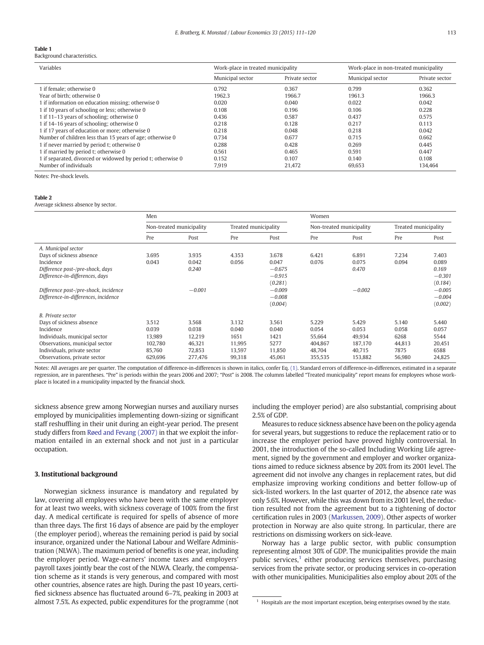### <span id="page-2-0"></span>Table 1

Background characteristics.

| Variables                                                    | Work-place in treated municipality |                | Work-place in non-treated municipality |                |
|--------------------------------------------------------------|------------------------------------|----------------|----------------------------------------|----------------|
|                                                              | Municipal sector                   | Private sector | Municipal sector                       | Private sector |
| 1 if female: otherwise 0                                     | 0.792                              | 0.367          | 0.799                                  | 0.362          |
| Year of birth: otherwise 0                                   | 1962.3                             | 1966.7         | 1961.3                                 | 1966.3         |
| 1 if information on education missing; otherwise 0           | 0.020                              | 0.040          | 0.022                                  | 0.042          |
| 1 if 10 years of schooling or less; otherwise 0              | 0.108                              | 0.196          | 0.106                                  | 0.228          |
| 1 if 11–13 years of schooling; otherwise 0                   | 0.436                              | 0.587          | 0.437                                  | 0.575          |
| 1 if 14-16 years of schooling; otherwise 0                   | 0.218                              | 0.128          | 0.217                                  | 0.113          |
| 1 if 17 years of education or more; otherwise 0              | 0.218                              | 0.048          | 0.218                                  | 0.042          |
| Number of children less than 15 years of age; otherwise 0    | 0.734                              | 0.677          | 0.715                                  | 0.662          |
| 1 if never married by period t; otherwise 0                  | 0.288                              | 0.428          | 0.269                                  | 0.445          |
| 1 if married by period t; otherwise 0                        | 0.561                              | 0.465          | 0.591                                  | 0.447          |
| 1 if separated, divorced or widowed by period t; otherwise 0 | 0.152                              | 0.107          | 0.140                                  | 0.108          |
| Number of individuals                                        | 7.919                              | 21.472         | 69,653                                 | 134.464        |

Notes: Pre-shock levels.

### Table 2

Average sickness absence by sector.

|                                       | Men                      |          |                      |          | Women                    |          |                      |          |
|---------------------------------------|--------------------------|----------|----------------------|----------|--------------------------|----------|----------------------|----------|
|                                       | Non-treated municipality |          | Treated municipality |          | Non-treated municipality |          | Treated municipality |          |
|                                       | Pre                      | Post     | Pre                  | Post     | Pre                      | Post     | Pre                  | Post     |
| A. Municipal sector                   |                          |          |                      |          |                          |          |                      |          |
| Days of sickness absence              | 3.695                    | 3.935    | 4.353                | 3.678    | 6.421                    | 6.891    | 7.234                | 7.403    |
| Incidence                             | 0.043                    | 0.042    | 0.056                | 0.047    | 0.076                    | 0.075    | 0.094                | 0.089    |
| Difference post-/pre-shock, days      |                          | 0.240    |                      | $-0.675$ |                          | 0.470    |                      | 0.169    |
| Difference-in-differences, days       |                          |          |                      | $-0.915$ |                          |          |                      | $-0.301$ |
|                                       |                          |          |                      | (0.281)  |                          |          |                      | (0.184)  |
| Difference post-/pre-shock, incidence |                          | $-0.001$ |                      | $-0.009$ |                          | $-0.002$ |                      | $-0.005$ |
| Difference-in-differences, incidence  |                          |          |                      | $-0.008$ |                          |          |                      | $-0.004$ |
|                                       |                          |          |                      | (0.004)  |                          |          |                      | (0.002)  |
| <b>B.</b> Private sector              |                          |          |                      |          |                          |          |                      |          |
| Days of sickness absence              | 3.512                    | 3.568    | 3.132                | 3.561    | 5.229                    | 5.429    | 5.140                | 5.440    |
| Incidence                             | 0.039                    | 0.038    | 0.040                | 0.040    | 0.054                    | 0.053    | 0.058                | 0.057    |
| Individuals, municipal sector         | 13,989                   | 12,219   | 1651                 | 1421     | 55,664                   | 49.934   | 6268                 | 5544     |
| Observations, municipal sector        | 102,780                  | 46,321   | 11,995               | 5277     | 404,867                  | 187,170  | 44,813               | 20,451   |
| Individuals, private sector           | 85,760                   | 72,853   | 13,597               | 11,850   | 48,704                   | 40,715   | 7875                 | 6588     |
| Observations, private sector          | 629,696                  | 277,476  | 99,318               | 45,061   | 355,535                  | 153,882  | 56,980               | 24,825   |

Notes: All averages are per quarter. The computation of difference-in-differences is shown in italics, confer Eq. [\(1\)](#page-3-0). Standard errors of difference-in-differences, estimated in a separate regression, are in parentheses. "Pre" is periods within the years 2006 and 2007; "Post" is 2008. The columns labelled "Treated municipality" report means for employees whose workplace is located in a municipality impacted by the financial shock.

sickness absence grew among Norwegian nurses and auxiliary nurses employed by municipalities implementing down-sizing or significant staff reshuffling in their unit during an eight-year period. The present study differs from [Røed and Fevang \(2007\)](#page-9-0) in that we exploit the information entailed in an external shock and not just in a particular occupation.

### 3. Institutional background

Norwegian sickness insurance is mandatory and regulated by law, covering all employees who have been with the same employer for at least two weeks, with sickness coverage of 100% from the first day. A medical certificate is required for spells of absence of more than three days. The first 16 days of absence are paid by the employer (the employer period), whereas the remaining period is paid by social insurance, organized under the National Labour and Welfare Administration (NLWA). The maximum period of benefits is one year, including the employer period. Wage-earners' income taxes and employers' payroll taxes jointly bear the cost of the NLWA. Clearly, the compensation scheme as it stands is very generous, and compared with most other countries, absence rates are high. During the past 10 years, certified sickness absence has fluctuated around 6–7%, peaking in 2003 at almost 7.5%. As expected, public expenditures for the programme (not

including the employer period) are also substantial, comprising about 2.5% of GDP.

Measures to reduce sickness absence have been on the policy agenda for several years, but suggestions to reduce the replacement ratio or to increase the employer period have proved highly controversial. In 2001, the introduction of the so-called Including Working Life agreement, signed by the government and employer and worker organizations aimed to reduce sickness absence by 20% from its 2001 level. The agreement did not involve any changes in replacement rates, but did emphasize improving working conditions and better follow-up of sick-listed workers. In the last quarter of 2012, the absence rate was only 5.6%. However, while this was down from its 2001 level, the reduction resulted not from the agreement but to a tightening of doctor certification rules in 2003 ([Markussen, 2009\)](#page-9-0). Other aspects of worker protection in Norway are also quite strong. In particular, there are restrictions on dismissing workers on sick-leave.

Norway has a large public sector, with public consumption representing almost 30% of GDP. The municipalities provide the main public services, $<sup>1</sup>$  either producing services themselves, purchasing</sup> services from the private sector, or producing services in co-operation with other municipalities. Municipalities also employ about 20% of the

 $1$  Hospitals are the most important exception, being enterprises owned by the state.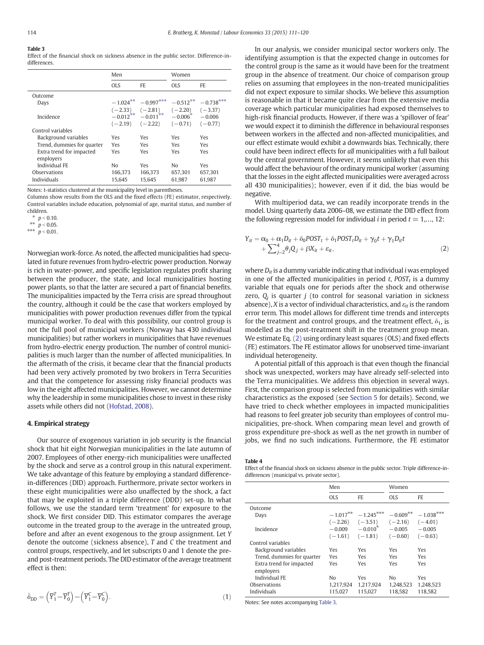### <span id="page-3-0"></span>Table 3 Effect of the financial shock on sickness absence in the public sector. Difference-indifferences.

|                            | Men     |                                          | Women               |                         |
|----------------------------|---------|------------------------------------------|---------------------|-------------------------|
|                            | OLS.    | FE.                                      | OLS.                | FE.                     |
| Outcome                    |         |                                          |                     |                         |
| Days                       |         | $-1.024***$ $-0.997***$                  |                     | $-0.512***$ $-0.738***$ |
|                            |         | $(-2.33)$ $(-2.81)$                      | $(-2.20)$ $(-3.37)$ |                         |
| Incidence                  |         | $-0.012^{**}$ $-0.011^{**}$ $-0.006^{*}$ |                     | $-0.006$                |
|                            |         | $(-2.19)$ $(-2.22)$                      | $(-0.71)$           | $(-0.77)$               |
| Control variables          |         |                                          |                     |                         |
| Background variables       | Yes     | Yes                                      | Yes                 | Yes                     |
| Trend, dummies for quarter | Yes     | Yes                                      | Yes                 | Yes                     |
| Extra trend for impacted   | Yes     | Yes                                      | Yes                 | Yes                     |
| employers                  |         |                                          |                     |                         |
| <b>Individual FE</b>       | No      | Yes                                      | No                  | Yes                     |
| Observations               | 166,373 | 166.373                                  | 657,301             | 657,301                 |
| Individuals                | 15.645  | 15.645                                   | 61.987              | 61.987                  |

Notes: t-statistics clustered at the municipality level in parentheses.

Columns show results from the OLS and the fixed effects (FE) estimator, respectively. Control variables include education, polynomial of age, marital status, and number of children.

\*  $p < 0.10$ .

 $p < 0.05$ .

\*\*\*  $p < 0.01$ .

Norwegian work-force. As noted, the affected municipalities had speculated in future revenues from hydro-electric power production. Norway is rich in water-power, and specific legislation regulates profit sharing between the producer, the state, and local municipalities hosting power plants, so that the latter are secured a part of financial benefits. The municipalities impacted by the Terra crisis are spread throughout the country, although it could be the case that workers employed by municipalities with power production revenues differ from the typical municipal worker. To deal with this possibility, our control group is not the full pool of municipal workers (Norway has 430 individual municipalities) but rather workers in municipalities that have revenues from hydro-electric energy production. The number of control municipalities is much larger than the number of affected municipalities. In the aftermath of the crisis, it became clear that the financial products had been very actively promoted by two brokers in Terra Securities and that the competence for assessing risky financial products was low in the eight affected municipalities. However, we cannot determine why the leadership in some municipalities chose to invest in these risky assets while others did not [\(Hofstad, 2008\)](#page-9-0).

## 4. Empirical strategy

Our source of exogenous variation in job security is the financial shock that hit eight Norwegian municipalities in the late autumn of 2007. Employees of other energy-rich municipalities were unaffected by the shock and serve as a control group in this natural experiment. We take advantage of this feature by employing a standard differencein-differences (DID) approach. Furthermore, private sector workers in these eight municipalities were also unaffected by the shock, a fact that may be exploited in a triple difference (DDD) set-up. In what follows, we use the standard term 'treatment' for exposure to the shock. We first consider DID. This estimator compares the average outcome in the treated group to the average in the untreated group, before and after an event exogenous to the group assignment. Let Y denote the outcome (sickness absence), T and C the treatment and control groups, respectively, and let subscripts 0 and 1 denote the preand post-treatment periods. The DID estimator of the average treatment effect is then:

$$
\hat{\delta}_{DD} = \left(\overline{Y}_1^T - \overline{Y}_0^T\right) - \left(\overline{Y}_1^C - \overline{Y}_0^C\right). \tag{1}
$$

In our analysis, we consider municipal sector workers only. The identifying assumption is that the expected change in outcomes for the control group is the same as it would have been for the treatment group in the absence of treatment. Our choice of comparison group relies on assuming that employees in the non-treated municipalities did not expect exposure to similar shocks. We believe this assumption is reasonable in that it became quite clear from the extensive media coverage which particular municipalities had exposed themselves to high-risk financial products. However, if there was a 'spillover of fear' we would expect it to diminish the difference in behavioural responses between workers in the affected and non-affected municipalities, and our effect estimate would exhibit a downwards bias. Technically, there could have been indirect effects for all municipalities with a full bailout by the central government. However, it seems unlikely that even this would affect the behaviour of the ordinary municipal worker (assuming that the losses in the eight affected municipalities were averaged across all 430 municipalities); however, even if it did, the bias would be negative.

With multiperiod data, we can readily incorporate trends in the model. Using quarterly data 2006–08, we estimate the DID effect from the following regression model for individual *i* in period  $t = 1, \ldots, 12$ :

$$
Y_{it} = \alpha_0 + \alpha_1 D_{it} + \delta_0 \text{POST}_t + \delta_1 \text{POST}_t D_{it} + \gamma_0 t + \gamma_1 D_{it} t + \sum_{j=2}^{4} \theta_j Q_j + \beta X_{it} + \varepsilon_{it},
$$
\n(2)

where  $D_{it}$  is a dummy variable indicating that individual *i* was employed in one of the affected municipalities in period  $t$ , POST<sub>t</sub> is a dummy variable that equals one for periods after the shock and otherwise zero,  $Q_i$  is quarter  $j$  (to control for seasonal variation in sickness absence), X is a vector of individual characteristics, and  $\varepsilon_{it}$  is the random error term. This model allows for different time trends and intercepts for the treatment and control groups, and the treatment effect,  $\delta_1$ , is modelled as the post-treatment shift in the treatment group mean. We estimate Eq. (2) using ordinary least squares (OLS) and fixed effects (FE) estimators. The FE estimator allows for unobserved time-invariant individual heterogeneity.

A potential pitfall of this approach is that even though the financial shock was unexpected, workers may have already self-selected into the Terra municipalities. We address this objection in several ways. First, the comparison group is selected from municipalities with similar characteristics as the exposed (see [Section 5](#page-5-0) for details). Second, we have tried to check whether employees in impacted municipalities had reasons to feel greater job security than employees of control municipalities, pre-shock. When comparing mean level and growth of gross expenditure pre-shock as well as the net growth in number of jobs, we find no such indications. Furthermore, the FE estimator

Table 4

Effect of the financial shock on sickness absence in the public sector. Triple difference-indifferences (municipal vs. private sector).

|                                       | Men                             |                                  | Women                                        |                       |
|---------------------------------------|---------------------------------|----------------------------------|----------------------------------------------|-----------------------|
|                                       | OLS.                            | FE.                              | OLS.                                         | FE.                   |
| Outcome                               |                                 |                                  |                                              |                       |
| Days                                  | $-1.017***$                     | $-1.245***$                      | $-0.609**$                                   | $-1.038***$           |
| Incidence                             | $-0.009 - 0.010^*$<br>$(-1.61)$ | $(-2.26)$ $(-3.51)$<br>$(-1.81)$ | $(-2.16)$ $(-4.01)$<br>$-0.005$<br>$(-0.60)$ | $-0.005$<br>$(-0.63)$ |
| Control variables                     |                                 |                                  |                                              |                       |
| Background variables                  | Yes                             | Yes                              | Yes                                          | Yes                   |
| Trend, dummies for quarter            | Yes                             | Yes                              | Yes                                          | Yes                   |
| Extra trend for impacted<br>employers | <b>Yes</b>                      | Yes                              | Yes                                          | Yes                   |
| <b>Individual FE</b>                  | No                              | Yes                              | No                                           | Yes                   |
| Observations                          | 1,217,924                       | 1,217,924                        | 1,248,523                                    | 1,248,523             |
| Individuals                           | 115.027                         | 115.027                          | 118.582                                      | 118.582               |

Notes: See notes accompanying Table 3.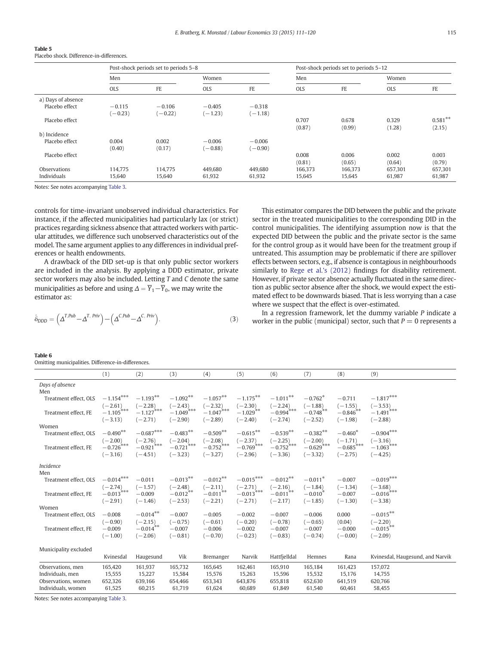<span id="page-4-0"></span>

| Table 5 |                                           |
|---------|-------------------------------------------|
|         | Placebo shock. Difference-in-differences. |

|                    | Post-shock periods set to periods 5-8 |           |            |           | Post-shock periods set to periods 5-12 |           |            |            |
|--------------------|---------------------------------------|-----------|------------|-----------|----------------------------------------|-----------|------------|------------|
|                    | Men                                   |           | Women      |           |                                        | Men       |            |            |
|                    | <b>OLS</b>                            | <b>FE</b> | <b>OLS</b> | FE        | <b>OLS</b>                             | <b>FE</b> | <b>OLS</b> | <b>FE</b>  |
| a) Days of absence |                                       |           |            |           |                                        |           |            |            |
| Placebo effect     | $-0.115$                              | $-0.106$  | $-0.405$   | $-0.318$  |                                        |           |            |            |
|                    | $(-0.23)$                             | $(-0.22)$ | $(-1.23)$  | $(-1.18)$ |                                        |           |            |            |
| Placebo effect     |                                       |           |            |           | 0.707                                  | 0.678     | 0.329      | $0.581***$ |
|                    |                                       |           |            |           | (0.87)                                 | (0.99)    | (1.28)     | (2.15)     |
| b) Incidence       |                                       |           |            |           |                                        |           |            |            |
| Placebo effect     | 0.004                                 | 0.002     | $-0.006$   | $-0.006$  |                                        |           |            |            |
|                    | (0.40)                                | (0.17)    | $(-0.88)$  | $(-0.90)$ |                                        |           |            |            |
| Placebo effect     |                                       |           |            |           | 0.008                                  | 0.006     | 0.002      | 0.003      |
|                    |                                       |           |            |           | (0.81)                                 | (0.65)    | (0.64)     | (0.79)     |
| Observations       | 114.775                               | 114.775   | 449,680    | 449.680   | 166,373                                | 166,373   | 657,301    | 657,301    |
| Individuals        | 15.640                                | 15.640    | 61,932     | 61,932    | 15.645                                 | 15,645    | 61.987     | 61.987     |

Notes: See notes accompanying [Table 3](#page-3-0).

controls for time-invariant unobserved individual characteristics. For instance, if the affected municipalities had particularly lax (or strict) practices regarding sickness absence that attracted workers with particular attitudes, we difference such unobserved characteristics out of the model. The same argument applies to any differences in individual preferences or health endowments.

A drawback of the DID set-up is that only public sector workers are included in the analysis. By applying a DDD estimator, private sector workers may also be included. Letting T and C denote the same municipalities as before and using  $\Delta = \overline{Y}_1 - \overline{Y}_0$ , we may write the estimator as:

$$
\hat{\delta}_{\text{DDD}} = \left(\Delta^{\text{T,Pub}} - \Delta^{\text{T, Priv}}\right) - \left(\Delta^{\text{C,Pub}} - \Delta^{\text{C, Priv}}\right). \tag{3}
$$

This estimator compares the DID between the public and the private sector in the treated municipalities to the corresponding DID in the control municipalities. The identifying assumption now is that the expected DID between the public and the private sector is the same for the control group as it would have been for the treatment group if untreated. This assumption may be problematic if there are spillover effects between sectors, e.g., if absence is contagious in neighbourhoods similarly to [Rege et al.'s \(2012\)](#page-9-0) findings for disability retirement. However, if private sector absence actually fluctuated in the same direction as public sector absence after the shock, we would expect the estimated effect to be downwards biased. That is less worrying than a case where we suspect that the effect is over-estimated.

In a regression framework, let the dummy variable P indicate a worker in the public (municipal) sector, such that  $P = 0$  represents a

|--|--|

Omitting municipalities. Difference-in-differences.

|                                         | (1)                      | (2)                         | (3)                       | (4)                       | (5)                      | (6)                       | (7)                      | (8)                      | (9)                                  |
|-----------------------------------------|--------------------------|-----------------------------|---------------------------|---------------------------|--------------------------|---------------------------|--------------------------|--------------------------|--------------------------------------|
| Days of absence<br>Men                  |                          |                             |                           |                           |                          |                           |                          |                          |                                      |
| Treatment effect, OLS                   | $-1.154***$              | $-1.193***$                 | $-1.092***$               | $-1.057***$               | $-1.175***$              | $-1.011***$               | $-0.762$ <sup>*</sup>    | $-0.711$                 | $-1.817***$                          |
| Treatment effect, FE                    | $(-2.61)$<br>$-1.105***$ | $(-2.28)$<br>$-1.127***$    | $(-2.43)$<br>$-1.049$ *** | $(-2.32)$<br>$-1.047$ *** | $(-2.30)$<br>$-1.029$ ** | $(-2.24)$<br>$-0.994$ *** | $(-1.88)$<br>$-0.748$ ** | $(-1.55)$<br>$-0.846$ ** | $(-3.53)$<br>$-1.491$ <sup>***</sup> |
|                                         | $(-3.13)$                | $(-2.71)$                   | $(-2.90)$                 | $(-2.89)$                 | $(-2.40)$                | $(-2.74)$                 | $(-2.52)$                | $(-1.98)$                | $(-2.88)$                            |
| Women                                   |                          |                             |                           |                           |                          |                           |                          |                          |                                      |
| Treatment effect, OLS                   | $-0.490***$<br>$(-2.00)$ | $-0.687^{***}$<br>$(-2.76)$ | $-0.483***$<br>$(-2.04)$  | $-0.509***$<br>$(-2.08)$  | $-0.615***$<br>$(-2.37)$ | $-0.539***$<br>$(-2.25)$  | $-0.382***$<br>$(-2.00)$ | $-0.460*$<br>$(-1.71)$   | $-0.904^{***}\,$<br>$(-3.16)$        |
| Treatment effect. FE                    | $-0.726$ ***             | $-0.921$ <sup>***</sup>     | $-0.721$ <sup>***</sup>   | $-0.752^{***}$            | $-0.769$ <sup>***</sup>  | $-0.752^{***}$            | $-0.629$ ***             | $-0.685^{***}$           | $-1.063$ ***                         |
|                                         | $(-3.16)$                | $(-4.51)$                   | $(-3.23)$                 | $(-3.27)$                 | $(-2.96)$                | $(-3.36)$                 | $(-3.32)$                | $(-2.75)$                | $(-4.25)$                            |
| Incidence<br>Men                        |                          |                             |                           |                           |                          |                           |                          |                          |                                      |
| Treatment effect. OLS                   | $-0.014***$              | $-0.011$                    | $-0.013***$               | $-0.012***$               | $-0.015^{***}\,$         | $-0.012***$               | $-0.011$ <sup>*</sup>    | $-0.007$                 | $-0.019***$                          |
| Treatment effect, FE                    | $(-2.74)$<br>$-0.013***$ | $(-1.57)$<br>$-0.009$       | $(-2.48)$<br>$-0.012**$   | $(-2.11)$<br>$-0.011**$   | $(-2.71)$<br>$-0.013***$ | $(-2.16)$<br>$-0.011**$   | $(-1.84)$<br>$-0.010*$   | $(-1.34)$<br>$-0.007$    | $(-3.68)$<br>$-0.016$ ***            |
|                                         | $(-2.91)$                | $(-1.46)$                   | $(-2.53)$                 | $(-2.21)$                 | $(-2.71)$                | $(-2.17)$                 | $(-1.85)$                | $(-1.30)$                | $(-3.38)$                            |
| Women                                   |                          |                             |                           |                           |                          |                           |                          |                          |                                      |
| Treatment effect, OLS                   | $-0.008$<br>$(-0.90)$    | $-0.014***$<br>$(-2.15)$    | $-0.007$<br>$(-0.75)$     | $-0.005$<br>$(-0.61)$     | $-0.002$<br>$(-0.20)$    | $-0.007$<br>$(-0.78)$     | $-0.006$<br>$(-0.65)$    | 0.000<br>(0.04)          | $-0.015***$<br>$(-2.20)$             |
| Treatment effect. FE                    | $-0.009$                 | $-0.014$ **                 | $-0.007$                  | $-0.006$                  | $-0.002$                 | $-0.007$                  | $-0.007$                 | $-0.000$                 | $-0.015**$                           |
|                                         | $(-1.00)$                | $(-2.06)$                   | $(-0.81)$                 | $(-0.70)$                 | $(-0.23)$                | $(-0.83)$                 | $(-0.74)$                | $(-0.00)$                | $(-2.09)$                            |
| Municipality excluded                   |                          |                             |                           |                           |                          |                           |                          |                          |                                      |
|                                         | Kvinesdal                | Haugesund                   | Vik                       | Bremanger                 | Narvik                   | Hattfjelldal              | Hemnes                   | Rana                     | Kvinesdal, Haugesund, and Narvik     |
| Observations, men                       | 165,420                  | 161,937                     | 165,732                   | 165,645                   | 162,461                  | 165,910                   | 165,184                  | 161,423                  | 157,072                              |
| Individuals, men<br>Observations, women | 15,555<br>652,326        | 15,227<br>639,166           | 15,584<br>654,466         | 15,576<br>653,343         | 15,263<br>643,876        | 15,596<br>655,818         | 15,532<br>652,630        | 15,176<br>641,519        | 14,755<br>620,766                    |
| Individuals, women                      | 61,525                   | 60,215                      | 61,719                    | 61,624                    | 60,689                   | 61,849                    | 61,540                   | 60,461                   | 58,455                               |

Notes: See notes accompanying [Table 3](#page-3-0).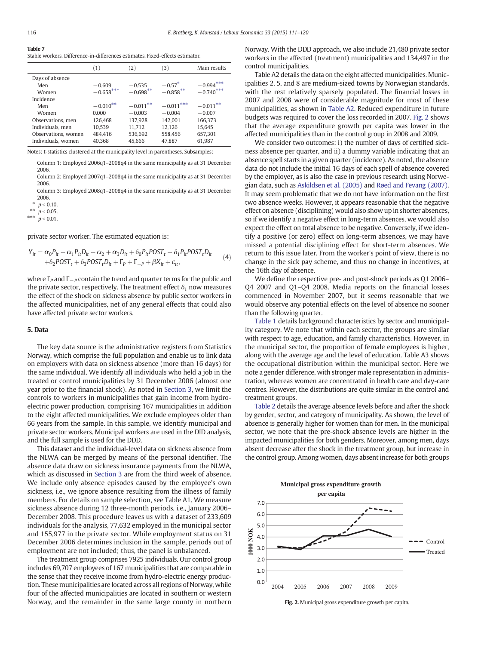<span id="page-5-0"></span>

# Table 7

|                     | (1)         | (2)                    | (3)         | Main results |
|---------------------|-------------|------------------------|-------------|--------------|
| Days of absence     |             |                        |             |              |
| Men                 | $-0.609$    | $-0.535$               | $-0.57*$    | $-0.994***$  |
| Women               | $-0.658***$ | $-0.698**$             | $-0.858***$ | $-0.740***$  |
| Incidence           |             |                        |             |              |
| Men                 | $-0.010**$  | $-0.011$ <sup>**</sup> | $-0.011***$ | $-0.011***$  |
| Women               | 0.000       | $-0.003$               | $-0.004$    | $-0.007$     |
| Observations, men   | 126.468     | 137.928                | 142.001     | 166,373      |
| Individuals, men    | 10.539      | 11,712                 | 12,126      | 15,645       |
| Observations, women | 484.416     | 536.692                | 558,456     | 657,301      |
| Individuals, women  | 40.368      | 45.666                 | 47,887      | 61,987       |
|                     |             |                        |             |              |

Notes: t-statistics clustered at the municipality level in parentheses. Subsamples:

Column 1: Employed 2006q1–2008q4 in the same municipality as at 31 December 2006.

Column 2: Employed 2007q1–2008q4 in the same municipality as at 31 December 2006.

Column 3: Employed 2008q1–2008q4 in the same municipality as at 31 December 2006.

\*  $p < 0.10$ .

 $p < 0.05$ .

 $p < 0.01$ .

private sector worker. The estimated equation is:

$$
Y_{it} = \alpha_0 P_{it} + \alpha_1 P_{it} D_{it} + \alpha_2 + \alpha_3 D_{it} + \delta_0 P_{it} POST_t + \delta_1 P_{it} POST_t D_{it}
$$
  
+
$$
\delta_2 POST_t + \delta_3 POST_t D_{it} + \Gamma_p + \Gamma_{-p} + \beta X_{it} + \varepsilon_{it},
$$
 (4)

where  $\Gamma_P$  and  $\Gamma_{-P}$  contain the trend and quarter terms for the public and the private sector, respectively. The treatment effect  $\delta_1$  now measures the effect of the shock on sickness absence by public sector workers in the affected municipalities, net of any general effects that could also have affected private sector workers.

## 5. Data

The key data source is the administrative registers from Statistics Norway, which comprise the full population and enable us to link data on employers with data on sickness absence (more than 16 days) for the same individual. We identify all individuals who held a job in the treated or control municipalities by 31 December 2006 (almost one year prior to the financial shock). As noted in [Section 3,](#page-2-0) we limit the controls to workers in municipalities that gain income from hydroelectric power production, comprising 167 municipalities in addition to the eight affected municipalities. We exclude employees older than 66 years from the sample. In this sample, we identify municipal and private sector workers. Municipal workers are used in the DID analysis, and the full sample is used for the DDD.

This dataset and the individual-level data on sickness absence from the NLWA can be merged by means of the personal identifier. The absence data draw on sickness insurance payments from the NLWA, which as discussed in [Section 3](#page-2-0) are from the third week of absence. We include only absence episodes caused by the employee's own sickness, i.e., we ignore absence resulting from the illness of family members. For details on sample selection, see Table A1. We measure sickness absence during 12 three-month periods, i.e., January 2006– December 2008. This procedure leaves us with a dataset of 233,609 individuals for the analysis, 77,632 employed in the municipal sector and 155,977 in the private sector. While employment status on 31 December 2006 determines inclusion in the sample, periods out of employment are not included; thus, the panel is unbalanced.

The treatment group comprises 7925 individuals. Our control group includes 69,707 employees of 167 municipalities that are comparable in the sense that they receive income from hydro-electric energy production. These municipalities are located across all regions of Norway, while four of the affected municipalities are located in southern or western Norway, and the remainder in the same large county in northern Norway. With the DDD approach, we also include 21,480 private sector workers in the affected (treatment) municipalities and 134,497 in the control municipalities.

Table A2 details the data on the eight affected municipalities. Municipalities 2, 5, and 8 are medium-sized towns by Norwegian standards, with the rest relatively sparsely populated. The financial losses in 2007 and 2008 were of considerable magnitude for most of these municipalities, as shown in [Table A2.](#page-9-0) Reduced expenditure in future budgets was required to cover the loss recorded in 2007. Fig. 2 shows that the average expenditure growth per capita was lower in the affected municipalities than in the control group in 2008 and 2009.

We consider two outcomes: i) the number of days of certified sickness absence per quarter, and ii) a dummy variable indicating that an absence spell starts in a given quarter (incidence). As noted, the absence data do not include the initial 16 days of each spell of absence covered by the employer, as is also the case in previous research using Norwegian data, such as [Askildsen et al. \(2005\)](#page-9-0) and [Røed and Fevang \(2007\).](#page-9-0) It may seem problematic that we do not have information on the first two absence weeks. However, it appears reasonable that the negative effect on absence (disciplining) would also show up in shorter absences, so if we identify a negative effect in long-term absences, we would also expect the effect on total absence to be negative. Conversely, if we identify a positive (or zero) effect on long-term absences, we may have missed a potential disciplining effect for short-term absences. We return to this issue later. From the worker's point of view, there is no change in the sick pay scheme, and thus no change in incentives, at the 16th day of absence.

We define the respective pre- and post-shock periods as Q1 2006– Q4 2007 and Q1–Q4 2008. Media reports on the financial losses commenced in November 2007, but it seems reasonable that we would observe any potential effects on the level of absence no sooner than the following quarter.

[Table 1](#page-2-0) details background characteristics by sector and municipality category. We note that within each sector, the groups are similar with respect to age, education, and family characteristics. However, in the municipal sector, the proportion of female employees is higher, along with the average age and the level of education. Table A3 shows the occupational distribution within the municipal sector. Here we note a gender difference, with stronger male representation in administration, whereas women are concentrated in health care and day-care centres. However, the distributions are quite similar in the control and treatment groups.

[Table 2](#page-2-0) details the average absence levels before and after the shock by gender, sector, and category of municipality. As shown, the level of absence is generally higher for women than for men. In the municipal sector, we note that the pre-shock absence levels are higher in the impacted municipalities for both genders. Moreover, among men, days absent decrease after the shock in the treatment group, but increase in the control group. Among women, days absent increase for both groups



Fig. 2. Municipal gross expenditure growth per capita.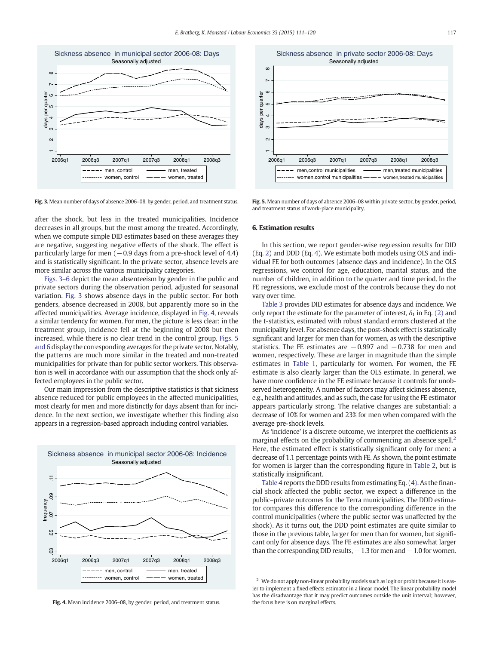

Fig. 3. Mean number of days of absence 2006–08, by gender, period, and treatment status.

after the shock, but less in the treated municipalities. Incidence decreases in all groups, but the most among the treated. Accordingly, when we compute simple DID estimates based on these averages they are negative, suggesting negative effects of the shock. The effect is particularly large for men  $(-0.9$  days from a pre-shock level of 4.4) and is statistically significant. In the private sector, absence levels are more similar across the various municipality categories.

Figs. 3–6 depict the mean absenteeism by gender in the public and private sectors during the observation period, adjusted for seasonal variation. Fig. 3 shows absence days in the public sector. For both genders, absence decreased in 2008, but apparently more so in the affected municipalities. Average incidence, displayed in Fig. 4, reveals a similar tendency for women. For men, the picture is less clear: in the treatment group, incidence fell at the beginning of 2008 but then increased, while there is no clear trend in the control group. Figs. 5 and 6 display the corresponding averages for the private sector. Notably, the patterns are much more similar in the treated and non-treated municipalities for private than for public sector workers. This observation is well in accordance with our assumption that the shock only affected employees in the public sector.

Our main impression from the descriptive statistics is that sickness absence reduced for public employees in the affected municipalities, most clearly for men and more distinctly for days absent than for incidence. In the next section, we investigate whether this finding also appears in a regression-based approach including control variables.



Fig. 4. Mean incidence 2006–08, by gender, period, and treatment status.



Fig. 5. Mean number of days of absence 2006–08 within private sector, by gender, period, and treatment status of work-place municipality.

### 6. Estimation results

In this section, we report gender-wise regression results for DID (Eq. [2](#page-3-0)) and DDD (Eq. [4\)](#page-5-0). We estimate both models using OLS and individual FE for both outcomes (absence days and incidence). In the OLS regressions, we control for age, education, marital status, and the number of children, in addition to the quarter and time period. In the FE regressions, we exclude most of the controls because they do not vary over time.

[Table 3](#page-3-0) provides DID estimates for absence days and incidence. We only report the estimate for the parameter of interest,  $\delta_1$  in Eq. [\(2\)](#page-3-0) and the t-statistics, estimated with robust standard errors clustered at the municipality level. For absence days, the post-shock effect is statistically significant and larger for men than for women, as with the descriptive statistics. The FE estimates are −0.997 and −0.738 for men and women, respectively. These are larger in magnitude than the simple estimates in [Table 1,](#page-2-0) particularly for women. For women, the FE estimate is also clearly larger than the OLS estimate. In general, we have more confidence in the FE estimate because it controls for unobserved heterogeneity. A number of factors may affect sickness absence, e.g., health and attitudes, and as such, the case for using the FE estimator appears particularly strong. The relative changes are substantial: a decrease of 10% for women and 23% for men when compared with the average pre-shock levels.

As 'incidence' is a discrete outcome, we interpret the coefficients as marginal effects on the probability of commencing an absence spell.<sup>2</sup> Here, the estimated effect is statistically significant only for men: a decrease of 1.1 percentage points with FE. As shown, the point estimate for women is larger than the corresponding figure in [Table 2](#page-2-0), but is statistically insignificant.

[Table 4](#page-3-0) reports the DDD results from estimating Eq. [\(4\).](#page-5-0) As the financial shock affected the public sector, we expect a difference in the public–private outcomes for the Terra municipalities. The DDD estimator compares this difference to the corresponding difference in the control municipalities (where the public sector was unaffected by the shock). As it turns out, the DDD point estimates are quite similar to those in the previous table, larger for men than for women, but significant only for absence days. The FE estimates are also somewhat larger than the corresponding DID results,  $-1.3$  for men and  $-1.0$  for women.

 $^{\rm 2}\,$  We do not apply non-linear probability models such as logit or probit because it is easier to implement a fixed effects estimator in a linear model. The linear probability model has the disadvantage that it may predict outcomes outside the unit interval; however, the focus here is on marginal effects.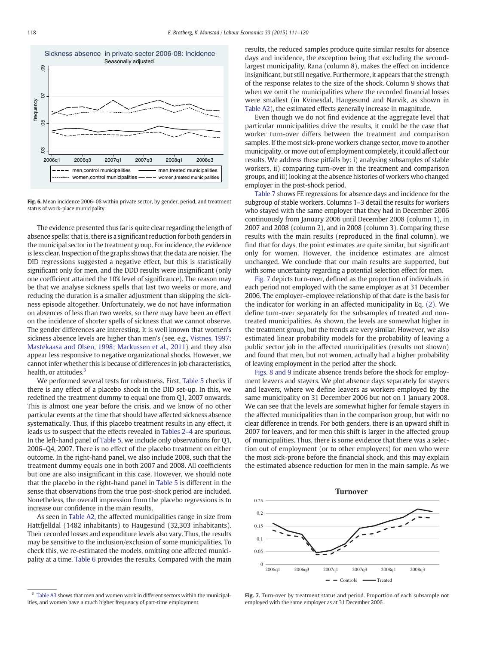

Fig. 6. Mean incidence 2006–08 within private sector, by gender, period, and treatment status of work-place municipality.

The evidence presented thus far is quite clear regarding the length of absence spells: that is, there is a significant reduction for both genders in the municipal sector in the treatment group. For incidence, the evidence is less clear. Inspection of the graphs shows that the data are noisier. The DID regressions suggested a negative effect, but this is statistically significant only for men, and the DDD results were insignificant (only one coefficient attained the 10% level of significance). The reason may be that we analyse sickness spells that last two weeks or more, and reducing the duration is a smaller adjustment than skipping the sickness episode altogether. Unfortunately, we do not have information on absences of less than two weeks, so there may have been an effect on the incidence of shorter spells of sickness that we cannot observe. The gender differences are interesting. It is well known that women's sickness absence levels are higher than men's (see, e.g., [Vistnes, 1997;](#page-9-0) [Mastekaasa and Olsen, 1998; Markussen et al., 2011\)](#page-9-0) and they also appear less responsive to negative organizational shocks. However, we cannot infer whether this is because of differences in job characteristics, health, or attitudes.<sup>3</sup> **Example 12**<br> **Example 2**<br> **Example 2**<br> **Example 2**<br> **Example 2**<br> **Example 2**<br> **Example 2**<br> **Example 2**<br> **Example 2**<br> **Example 2**<br> **Example 2**<br> **Example 2**<br> **Example 2**<br> **Example 2**<br> **Example 2**<br> **Example 2**<br> **Example 2**<br>

We performed several tests for robustness. First, [Table 5](#page-4-0) checks if there is any effect of a placebo shock in the DID set-up. In this, we redefined the treatment dummy to equal one from Q1, 2007 onwards. This is almost one year before the crisis, and we know of no other particular events at the time that should have affected sickness absence systematically. Thus, if this placebo treatment results in any effect, it leads us to suspect that the effects revealed in [Tables 2](#page-2-0)–4 are spurious. In the left-hand panel of [Table 5](#page-4-0), we include only observations for Q1, 2006–Q4, 2007. There is no effect of the placebo treatment on either outcome. In the right-hand panel, we also include 2008, such that the treatment dummy equals one in both 2007 and 2008. All coefficients but one are also insignificant in this case. However, we should note that the placebo in the right-hand panel in [Table 5](#page-4-0) is different in the sense that observations from the true post-shock period are included. Nonetheless, the overall impression from the placebo regressions is to increase our confidence in the main results.

As seen in [Table A2](#page-9-0), the affected municipalities range in size from Hattfjelldal (1482 inhabitants) to Haugesund (32,303 inhabitants). Their recorded losses and expenditure levels also vary. Thus, the results may be sensitive to the inclusion/exclusion of some municipalities. To check this, we re-estimated the models, omitting one affected municipality at a time. [Table 6](#page-4-0) provides the results. Compared with the main results, the reduced samples produce quite similar results for absence days and incidence, the exception being that excluding the secondlargest municipality, Rana (column 8), makes the effect on incidence insignificant, but still negative. Furthermore, it appears that the strength of the response relates to the size of the shock. Column 9 shows that when we omit the municipalities where the recorded financial losses were smallest (in Kvinesdal, Haugesund and Narvik, as shown in [Table A2](#page-9-0)), the estimated effects generally increase in magnitude.

Even though we do not find evidence at the aggregate level that particular municipalities drive the results, it could be the case that worker turn-over differs between the treatment and comparison samples. If the most sick-prone workers change sector, move to another municipality, or move out of employment completely, it could affect our results. We address these pitfalls by: i) analysing subsamples of stable workers, ii) comparing turn-over in the treatment and comparison groups, and iii) looking at the absence histories of workers who changed employer in the post-shock period.

[Table 7](#page-5-0) shows FE regressions for absence days and incidence for the subgroup of stable workers. Columns 1–3 detail the results for workers who stayed with the same employer that they had in December 2006 continuously from January 2006 until December 2008 (column 1), in 2007 and 2008 (column 2), and in 2008 (column 3). Comparing these results with the main results (reproduced in the final column), we find that for days, the point estimates are quite similar, but significant only for women. However, the incidence estimates are almost unchanged. We conclude that our main results are supported, but with some uncertainty regarding a potential selection effect for men.

Fig. 7 depicts turn-over, defined as the proportion of individuals in each period not employed with the same employer as at 31 December 2006. The employer–employee relationship of that date is the basis for the indicator for working in an affected municipality in Eq. [\(2\).](#page-3-0) We define turn-over separately for the subsamples of treated and nontreated municipalities. As shown, the levels are somewhat higher in the treatment group, but the trends are very similar. However, we also estimated linear probability models for the probability of leaving a public sector job in the affected municipalities (results not shown) and found that men, but not women, actually had a higher probability of leaving employment in the period after the shock.

[Figs. 8 and 9](#page-8-0) indicate absence trends before the shock for employment leavers and stayers. We plot absence days separately for stayers and leavers, where we define leavers as workers employed by the same municipality on 31 December 2006 but not on 1 January 2008. We can see that the levels are somewhat higher for female stayers in the affected municipalities than in the comparison group, but with no clear difference in trends. For both genders, there is an upward shift in 2007 for leavers, and for men this shift is larger in the affected group of municipalities. Thus, there is some evidence that there was a selection out of employment (or to other employers) for men who were the most sick-prone before the financial shock, and this may explain the estimated absence reduction for men in the main sample. As we



Fig. 7. Turn-over by treatment status and period. Proportion of each subsample not employed with the same employer as at 31 December 2006.

<sup>&</sup>lt;sup>3</sup> [Table A3](#page-9-0) shows that men and women work in different sectors within the municipal-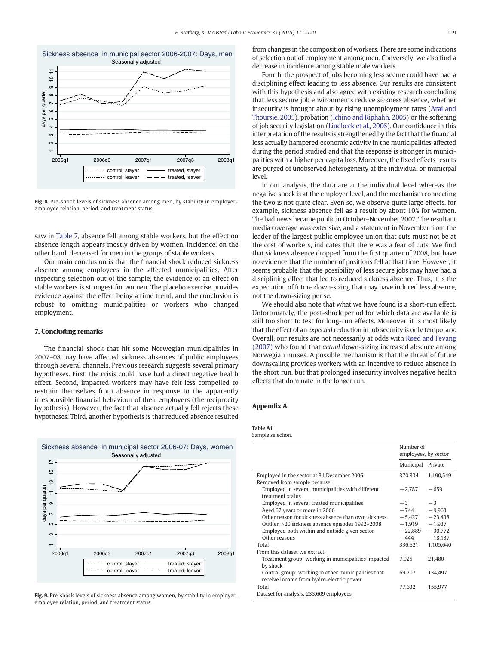<span id="page-8-0"></span>

Fig. 8. Pre-shock levels of sickness absence among men, by stability in employeremployee relation, period, and treatment status.

saw in [Table 7,](#page-5-0) absence fell among stable workers, but the effect on absence length appears mostly driven by women. Incidence, on the other hand, decreased for men in the groups of stable workers.

Our main conclusion is that the financial shock reduced sickness absence among employees in the affected municipalities. After inspecting selection out of the sample, the evidence of an effect on stable workers is strongest for women. The placebo exercise provides evidence against the effect being a time trend, and the conclusion is robust to omitting municipalities or workers who changed employment.

### 7. Concluding remarks

The financial shock that hit some Norwegian municipalities in 2007–08 may have affected sickness absences of public employees through several channels. Previous research suggests several primary hypotheses. First, the crisis could have had a direct negative health effect. Second, impacted workers may have felt less compelled to restrain themselves from absence in response to the apparently irresponsible financial behaviour of their employers (the reciprocity hypothesis). However, the fact that absence actually fell rejects these hypotheses. Third, another hypothesis is that reduced absence resulted



Fig. 9. Pre-shock levels of sickness absence among women, by stability in employeremployee relation, period, and treatment status.

from changes in the composition of workers. There are some indications of selection out of employment among men. Conversely, we also find a decrease in incidence among stable male workers.

Fourth, the prospect of jobs becoming less secure could have had a disciplining effect leading to less absence. Our results are consistent with this hypothesis and also agree with existing research concluding that less secure job environments reduce sickness absence, whether insecurity is brought about by rising unemployment rates [\(Arai and](#page-9-0) [Thoursie, 2005\)](#page-9-0), probation [\(Ichino and Riphahn, 2005](#page-9-0)) or the softening of job security legislation [\(Lindbeck et al., 2006](#page-9-0)). Our confidence in this interpretation of the results is strengthened by the fact that the financial loss actually hampered economic activity in the municipalities affected during the period studied and that the response is stronger in municipalities with a higher per capita loss. Moreover, the fixed effects results are purged of unobserved heterogeneity at the individual or municipal level.

In our analysis, the data are at the individual level whereas the negative shock is at the employer level, and the mechanism connecting the two is not quite clear. Even so, we observe quite large effects, for example, sickness absence fell as a result by about 10% for women. The bad news became public in October–November 2007. The resultant media coverage was extensive, and a statement in November from the leader of the largest public employee union that cuts must not be at the cost of workers, indicates that there was a fear of cuts. We find that sickness absence dropped from the first quarter of 2008, but have no evidence that the number of positions fell at that time. However, it seems probable that the possibility of less secure jobs may have had a disciplining effect that led to reduced sickness absence. Thus, it is the expectation of future down-sizing that may have induced less absence, not the down-sizing per se.

We should also note that what we have found is a short-run effect. Unfortunately, the post-shock period for which data are available is still too short to test for long-run effects. Moreover, it is most likely that the effect of an expected reduction in job security is only temporary. Overall, our results are not necessarily at odds with [Røed and Fevang](#page-9-0) [\(2007\)](#page-9-0) who found that actual down-sizing increased absence among Norwegian nurses. A possible mechanism is that the threat of future downscaling provides workers with an incentive to reduce absence in the short run, but that prolonged insecurity involves negative health effects that dominate in the longer run.

# Appendix A

| Table A1          |
|-------------------|
| Sample selection. |

|                                                                                                 | Number of<br>employees, by sector |           |
|-------------------------------------------------------------------------------------------------|-----------------------------------|-----------|
|                                                                                                 | Municipal                         | Private   |
| Employed in the sector at 31 December 2006<br>Removed from sample because:                      | 370,834                           | 1.190.549 |
| Employed in several municipalities with different<br>treatment status                           | $-2.787$                          | $-659$    |
| Employed in several treated municipalities                                                      | $-3$                              | $-3$      |
| Aged 67 years or more in 2006                                                                   | $-744$                            | $-9,963$  |
| Other reason for sickness absence than own sickness                                             | $-5.427$                          | $-23,438$ |
| Outlier, >20 sickness absence episodes 1992–2008                                                | $-1.919$                          | $-1.937$  |
| Employed both within and outside given sector                                                   | $-22,889$                         | $-30,772$ |
| Other reasons                                                                                   | $-444$                            | $-18,137$ |
| Total                                                                                           | 336,621                           | 1,105,640 |
| From this dataset we extract                                                                    |                                   |           |
| Treatment group: working in municipalities impacted<br>by shock                                 | 7,925                             | 21,480    |
| Control group: working in other municipalities that<br>receive income from hydro-electric power | 69,707                            | 134,497   |
| Total                                                                                           | 77,632                            | 155,977   |
| Dataset for analysis: 233,609 employees                                                         |                                   |           |